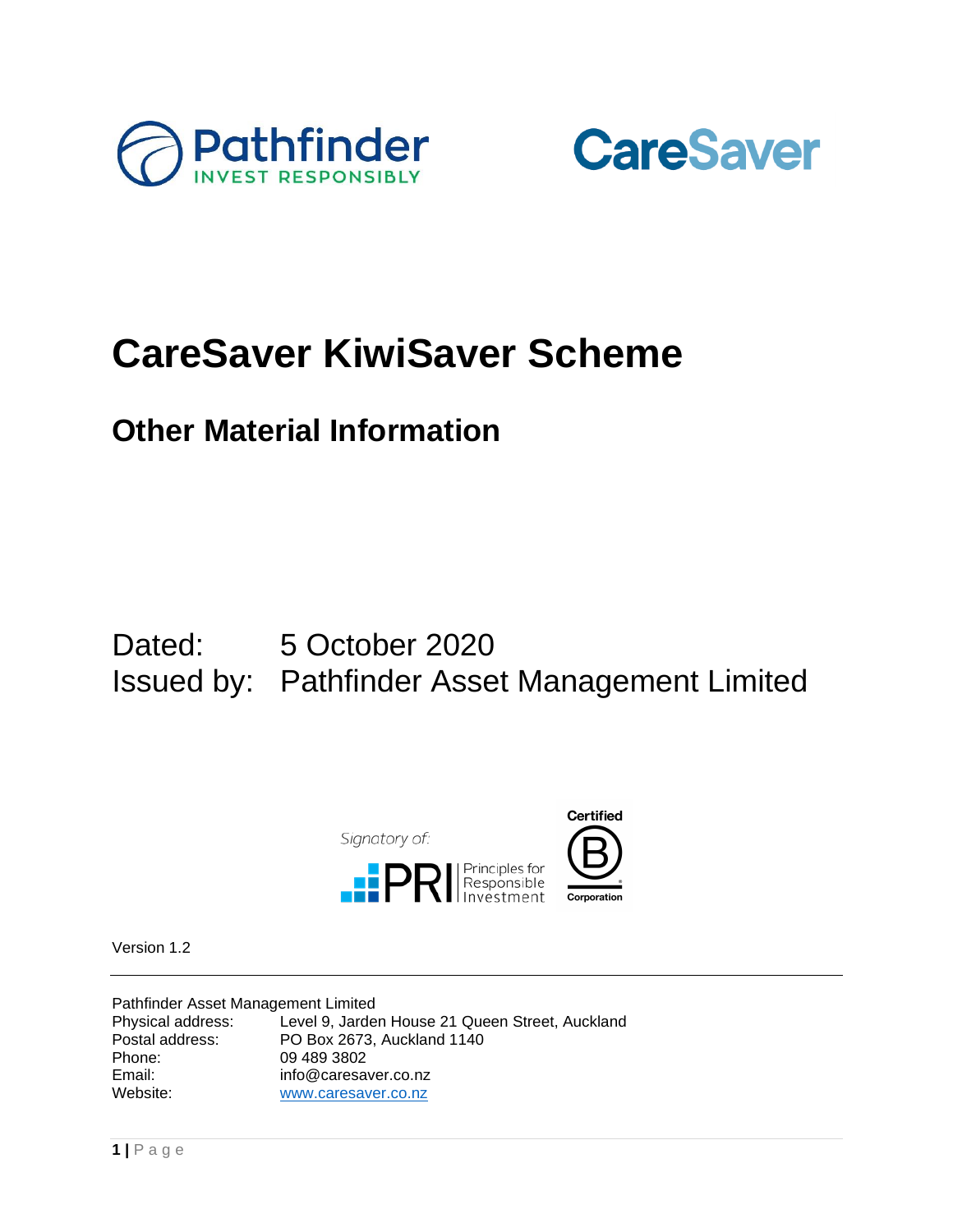



# **CareSaver KiwiSaver Scheme**

### **Other Material Information**

### Dated: 5 October 2020 Issued by: Pathfinder Asset Management Limited



Version 1.2

Pathfinder Asset Management Limited<br>Physical address: Level 9, Jarder Level 9, Jarden House 21 Queen Street, Auckland Postal address: PO Box 2673, Auckland 1140<br>Phone: 09 489 3802 09 489 3802 Email: info@caresaver.co.nz Website: [www.caresaver.co.nz](http://www.caresaver.co.nz/)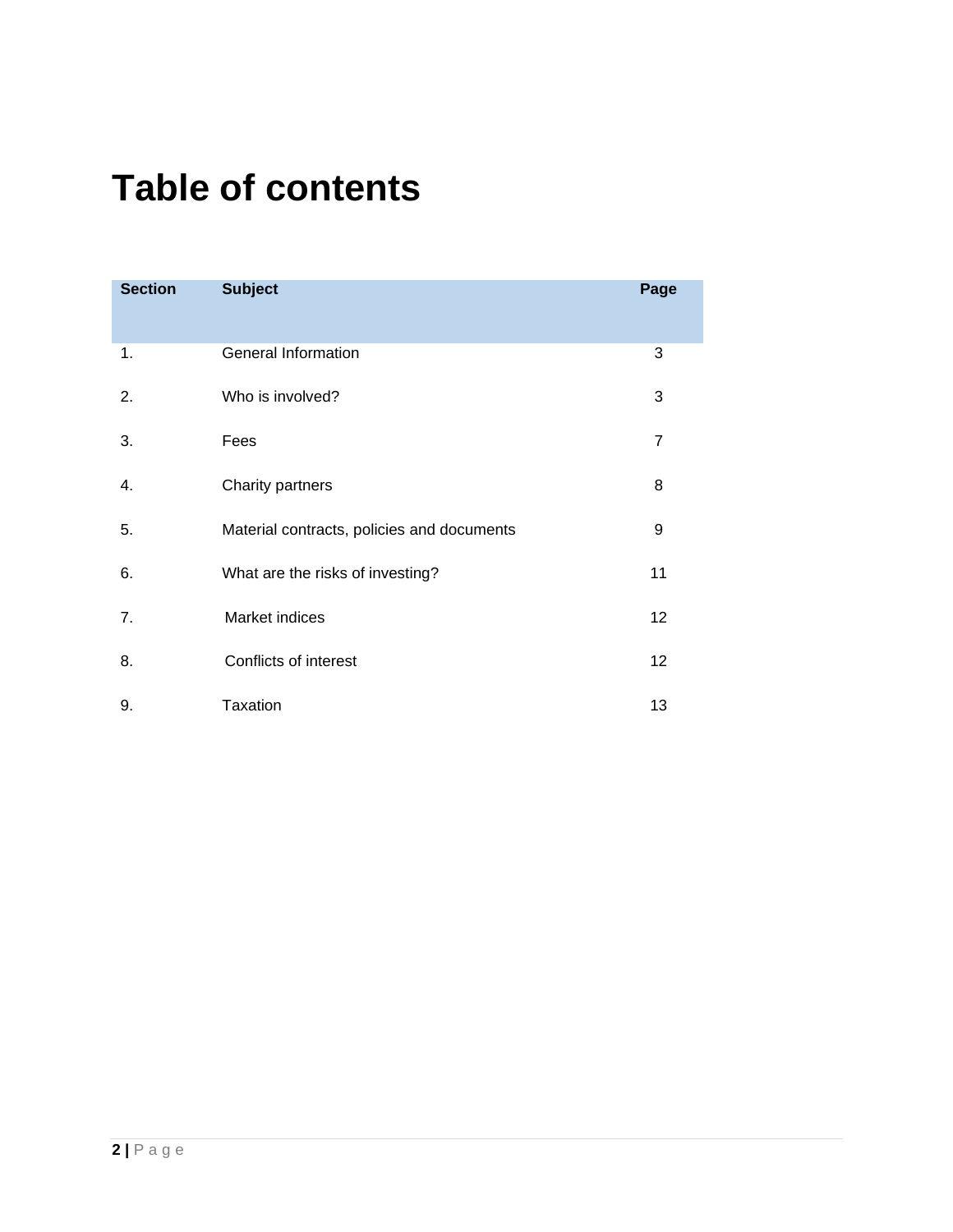# **Table of contents**

| <b>Section</b> | <b>Subject</b>                             | Page           |
|----------------|--------------------------------------------|----------------|
| 1.             | General Information                        | 3              |
| 2.             | Who is involved?                           | 3              |
| 3.             | Fees                                       | $\overline{7}$ |
| 4.             | Charity partners                           | 8              |
| 5.             | Material contracts, policies and documents | 9              |
| 6.             | What are the risks of investing?           | 11             |
| 7.             | Market indices                             | 12             |
| 8.             | Conflicts of interest                      | 12             |
| 9.             | <b>Taxation</b>                            | 13             |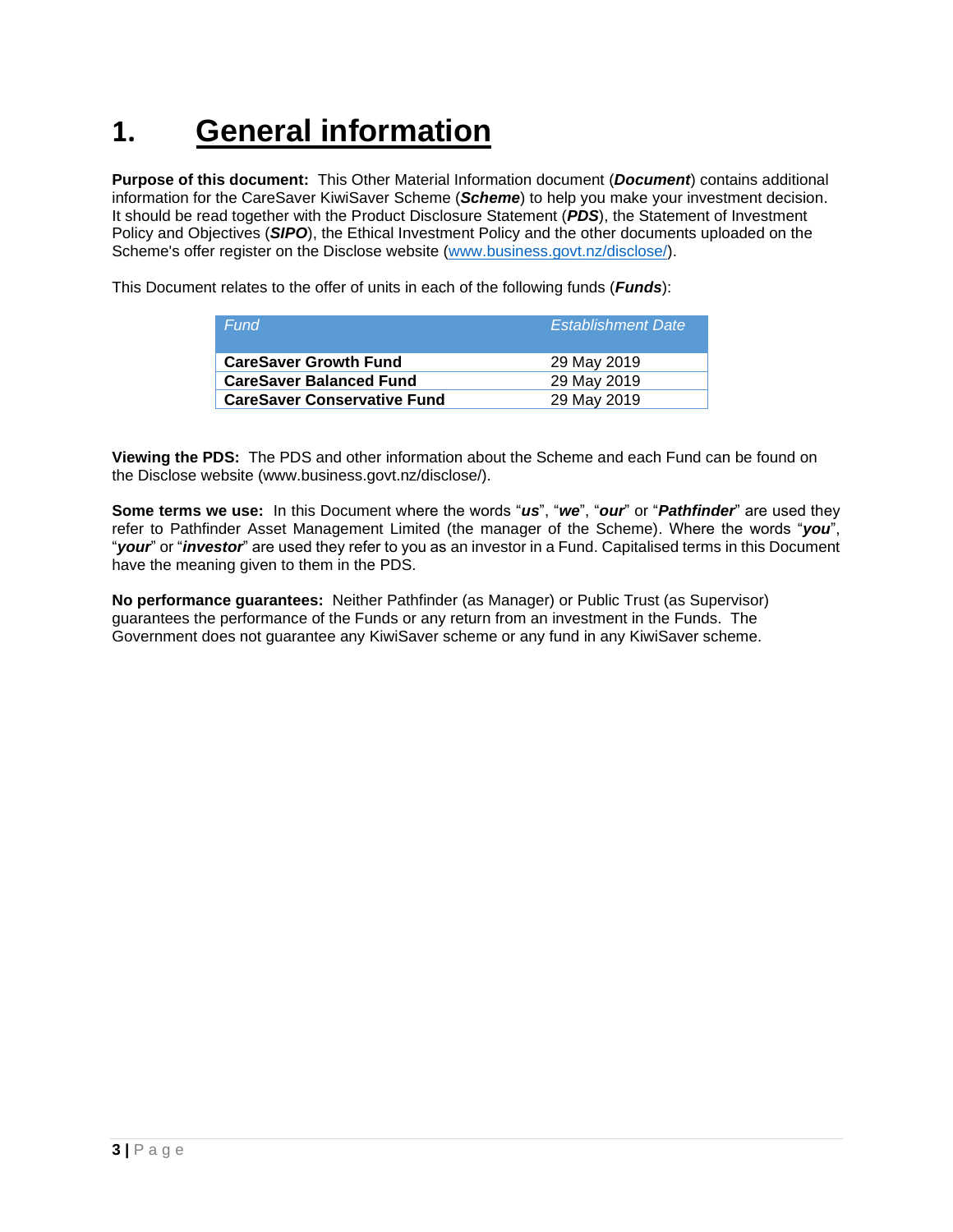## **1. General information**

**Purpose of this document:** This Other Material Information document (*Document*) contains additional information for the CareSaver KiwiSaver Scheme (*Scheme*) to help you make your investment decision. It should be read together with the Product Disclosure Statement (*PDS*), the Statement of Investment Policy and Objectives (*SIPO*), the Ethical Investment Policy and the other documents uploaded on the Scheme's offer register on the Disclose website [\(www.business.govt.nz/disclose/\)](http://www.business.govt.nz/disclose/).

This Document relates to the offer of units in each of the following funds (*Funds*):

| Fund                               | <b>Establishment Date</b> |
|------------------------------------|---------------------------|
| <b>CareSaver Growth Fund</b>       | 29 May 2019               |
| <b>CareSaver Balanced Fund</b>     | 29 May 2019               |
| <b>CareSaver Conservative Fund</b> | 29 May 2019               |

**Viewing the PDS:** The PDS and other information about the Scheme and each Fund can be found on the Disclose website (www.business.govt.nz/disclose/).

**Some terms we use:** In this Document where the words "*us*", "*we*", "*our*" or "*Pathfinder*" are used they refer to Pathfinder Asset Management Limited (the manager of the Scheme). Where the words "*you*", "*your*" or "*investor*" are used they refer to you as an investor in a Fund. Capitalised terms in this Document have the meaning given to them in the PDS.

**No performance guarantees:** Neither Pathfinder (as Manager) or Public Trust (as Supervisor) guarantees the performance of the Funds or any return from an investment in the Funds. The Government does not guarantee any KiwiSaver scheme or any fund in any KiwiSaver scheme.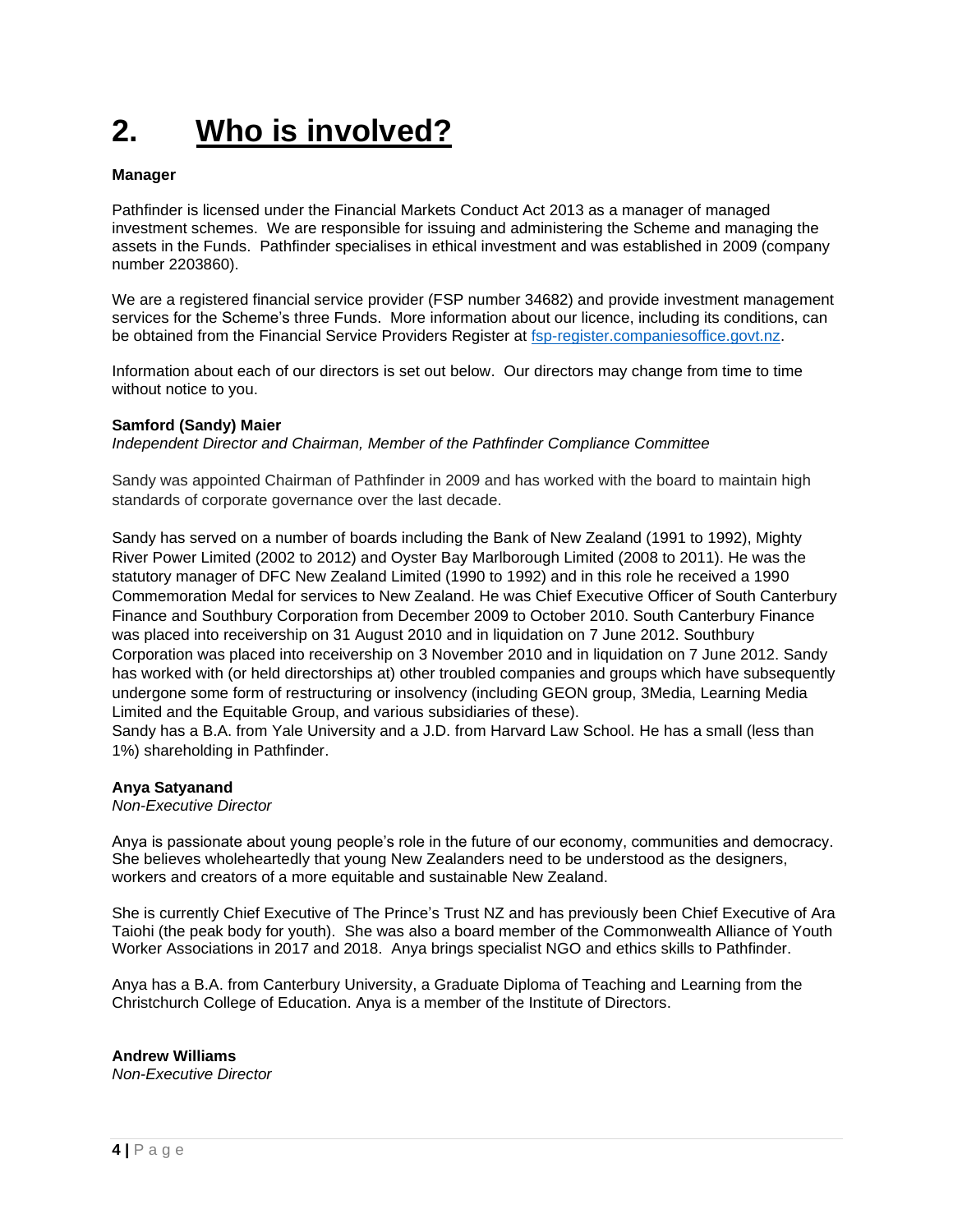# **2. Who is involved?**

#### **Manager**

Pathfinder is licensed under the Financial Markets Conduct Act 2013 as a manager of managed investment schemes. We are responsible for issuing and administering the Scheme and managing the assets in the Funds. Pathfinder specialises in ethical investment and was established in 2009 (company number 2203860).

We are a registered financial service provider (FSP number 34682) and provide investment management services for the Scheme's three Funds. More information about our licence, including its conditions, can be obtained from the Financial Service Providers Register at [fsp-register.companiesoffice.govt.nz.](https://fsp-register.companiesoffice.govt.nz/)

Information about each of our directors is set out below. Our directors may change from time to time without notice to you.

#### **Samford (Sandy) Maier**

*Independent Director and Chairman, Member of the Pathfinder Compliance Committee*

Sandy was appointed Chairman of Pathfinder in 2009 and has worked with the board to maintain high standards of corporate governance over the last decade.

Sandy has served on a number of boards including the Bank of New Zealand (1991 to 1992), Mighty River Power Limited (2002 to 2012) and Oyster Bay Marlborough Limited (2008 to 2011). He was the statutory manager of DFC New Zealand Limited (1990 to 1992) and in this role he received a 1990 Commemoration Medal for services to New Zealand. He was Chief Executive Officer of South Canterbury Finance and Southbury Corporation from December 2009 to October 2010. South Canterbury Finance was placed into receivership on 31 August 2010 and in liquidation on 7 June 2012. Southbury Corporation was placed into receivership on 3 November 2010 and in liquidation on 7 June 2012. Sandy has worked with (or held directorships at) other troubled companies and groups which have subsequently undergone some form of restructuring or insolvency (including GEON group, 3Media, Learning Media Limited and the Equitable Group, and various subsidiaries of these).

Sandy has a B.A. from Yale University and a J.D. from Harvard Law School. He has a small (less than 1%) shareholding in Pathfinder.

#### **Anya Satyanand**

*Non-Executive Director*

Anya is passionate about young people's role in the future of our economy, communities and democracy. She believes wholeheartedly that young New Zealanders need to be understood as the designers, workers and creators of a more equitable and sustainable New Zealand.

She is currently Chief Executive of The Prince's Trust NZ and has previously been Chief Executive of Ara Taiohi (the peak body for youth). She was also a board member of the Commonwealth Alliance of Youth Worker Associations in 2017 and 2018. Anya brings specialist NGO and ethics skills to Pathfinder.

Anya has a B.A. from Canterbury University, a Graduate Diploma of Teaching and Learning from the Christchurch College of Education. Anya is a member of the Institute of Directors.

#### **Andrew Williams**

*Non-Executive Director*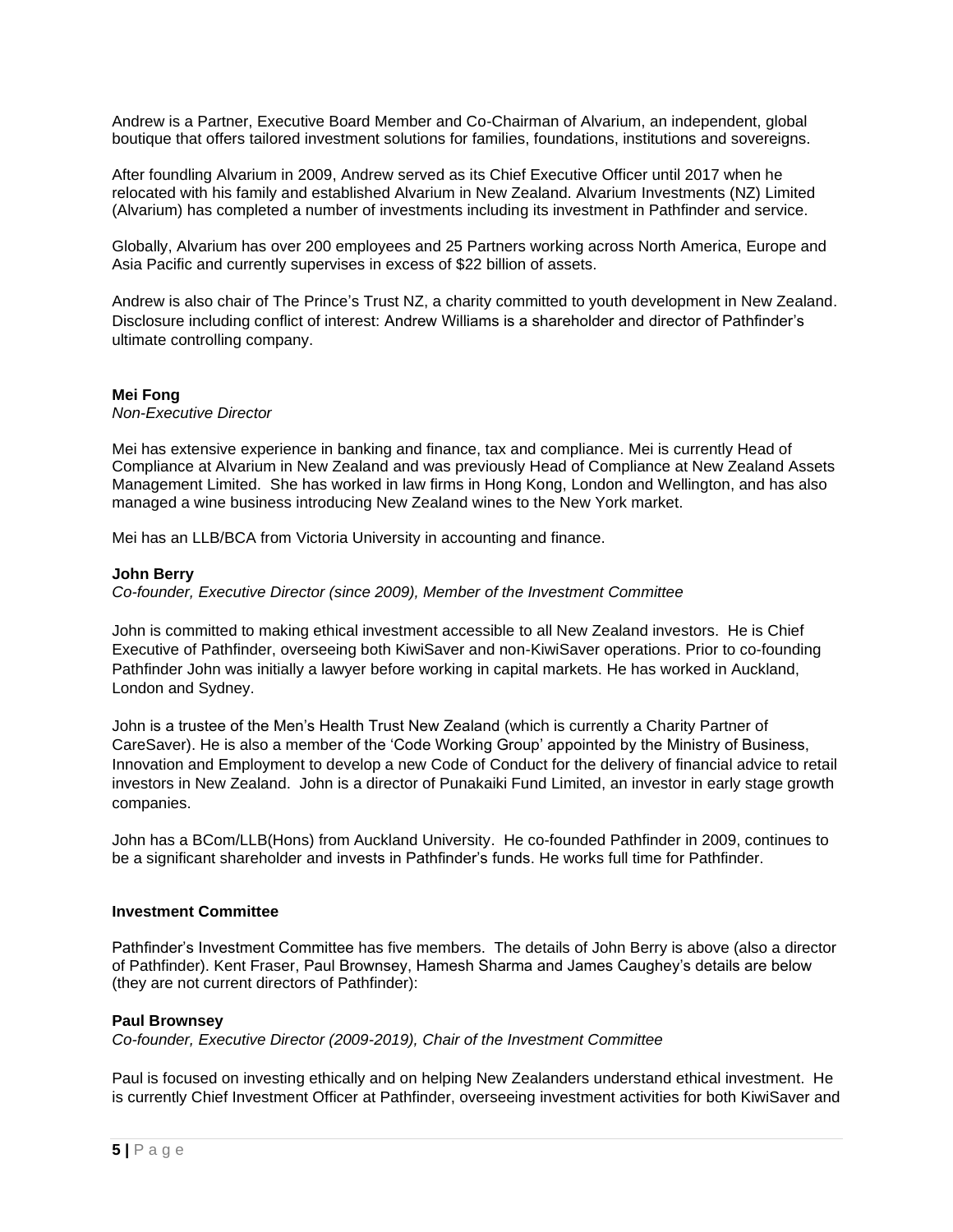Andrew is a Partner, Executive Board Member and Co-Chairman of Alvarium, an independent, global boutique that offers tailored investment solutions for families, foundations, institutions and sovereigns.

After foundling Alvarium in 2009, Andrew served as its Chief Executive Officer until 2017 when he relocated with his family and established Alvarium in New Zealand. Alvarium Investments (NZ) Limited (Alvarium) has completed a number of investments including its investment in Pathfinder and service.

Globally, Alvarium has over 200 employees and 25 Partners working across North America, Europe and Asia Pacific and currently supervises in excess of \$22 billion of assets.

Andrew is also chair of The Prince's Trust NZ, a charity committed to youth development in New Zealand. Disclosure including conflict of interest: Andrew Williams is a shareholder and director of Pathfinder's ultimate controlling company.

#### **Mei Fong**

*Non-Executive Director*

Mei has extensive experience in banking and finance, tax and compliance. Mei is currently Head of Compliance at Alvarium in New Zealand and was previously Head of Compliance at New Zealand Assets Management Limited. She has worked in law firms in Hong Kong, London and Wellington, and has also managed a wine business introducing New Zealand wines to the New York market.

Mei has an LLB/BCA from Victoria University in accounting and finance.

#### **John Berry**

*Co-founder, Executive Director (since 2009), Member of the Investment Committee*

John is committed to making ethical investment accessible to all New Zealand investors. He is Chief Executive of Pathfinder, overseeing both KiwiSaver and non-KiwiSaver operations. Prior to co-founding Pathfinder John was initially a lawyer before working in capital markets. He has worked in Auckland, London and Sydney.

John is a trustee of the Men's Health Trust New Zealand (which is currently a Charity Partner of CareSaver). He is also a member of the 'Code Working Group' appointed by the Ministry of Business, Innovation and Employment to develop a new Code of Conduct for the delivery of financial advice to retail investors in New Zealand. John is a director of Punakaiki Fund Limited, an investor in early stage growth companies.

John has a BCom/LLB(Hons) from Auckland University. He co-founded Pathfinder in 2009, continues to be a significant shareholder and invests in Pathfinder's funds. He works full time for Pathfinder.

#### **Investment Committee**

Pathfinder's Investment Committee has five members. The details of John Berry is above (also a director of Pathfinder). Kent Fraser, Paul Brownsey, Hamesh Sharma and James Caughey's details are below (they are not current directors of Pathfinder):

#### **Paul Brownsey**

*Co-founder, Executive Director (2009-2019), Chair of the Investment Committee*

Paul is focused on investing ethically and on helping New Zealanders understand ethical investment. He is currently Chief Investment Officer at Pathfinder, overseeing investment activities for both KiwiSaver and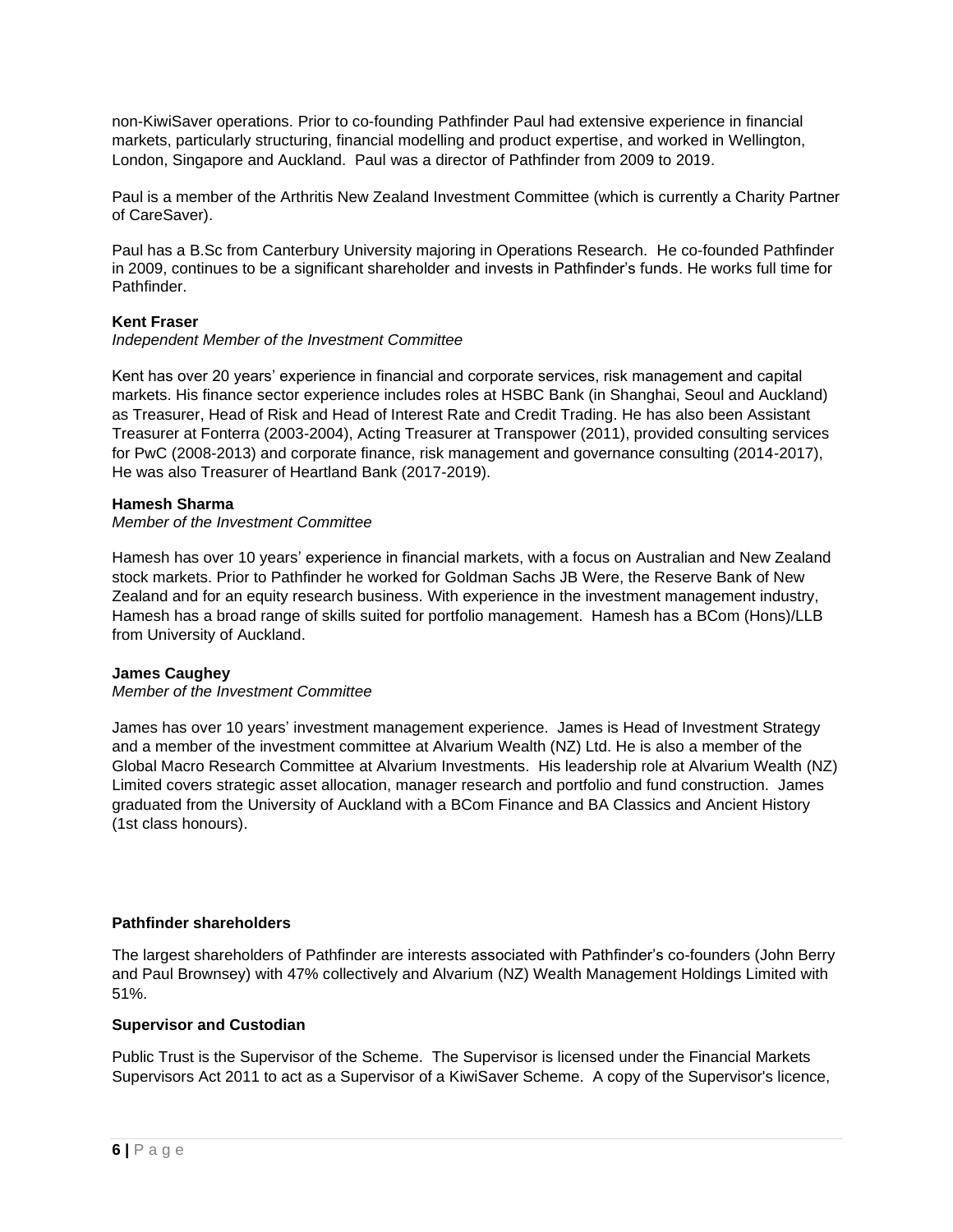non-KiwiSaver operations. Prior to co-founding Pathfinder Paul had extensive experience in financial markets, particularly structuring, financial modelling and product expertise, and worked in Wellington, London, Singapore and Auckland. Paul was a director of Pathfinder from 2009 to 2019.

Paul is a member of the Arthritis New Zealand Investment Committee (which is currently a Charity Partner of CareSaver).

Paul has a B.Sc from Canterbury University majoring in Operations Research. He co-founded Pathfinder in 2009, continues to be a significant shareholder and invests in Pathfinder's funds. He works full time for Pathfinder.

#### **Kent Fraser**

#### *Independent Member of the Investment Committee*

Kent has over 20 years' experience in financial and corporate services, risk management and capital markets. His finance sector experience includes roles at HSBC Bank (in Shanghai, Seoul and Auckland) as Treasurer, Head of Risk and Head of Interest Rate and Credit Trading. He has also been Assistant Treasurer at Fonterra (2003-2004), Acting Treasurer at Transpower (2011), provided consulting services for PwC (2008-2013) and corporate finance, risk management and governance consulting (2014-2017), He was also Treasurer of Heartland Bank (2017-2019).

#### **Hamesh Sharma**

*Member of the Investment Committee*

Hamesh has over 10 years' experience in financial markets, with a focus on Australian and New Zealand stock markets. Prior to Pathfinder he worked for Goldman Sachs JB Were, the Reserve Bank of New Zealand and for an equity research business. With experience in the investment management industry, Hamesh has a broad range of skills suited for portfolio management. Hamesh has a BCom (Hons)/LLB from University of Auckland.

#### **James Caughey**

*Member of the Investment Committee*

James has over 10 years' investment management experience. James is Head of Investment Strategy and a member of the investment committee at Alvarium Wealth (NZ) Ltd. He is also a member of the Global Macro Research Committee at Alvarium Investments. His leadership role at Alvarium Wealth (NZ) Limited covers strategic asset allocation, manager research and portfolio and fund construction. James graduated from the University of Auckland with a BCom Finance and BA Classics and Ancient History (1st class honours).

#### **Pathfinder shareholders**

The largest shareholders of Pathfinder are interests associated with Pathfinder's co-founders (John Berry and Paul Brownsey) with 47% collectively and Alvarium (NZ) Wealth Management Holdings Limited with 51%.

#### **Supervisor and Custodian**

Public Trust is the Supervisor of the Scheme. The Supervisor is licensed under the Financial Markets Supervisors Act 2011 to act as a Supervisor of a KiwiSaver Scheme. A copy of the Supervisor's licence,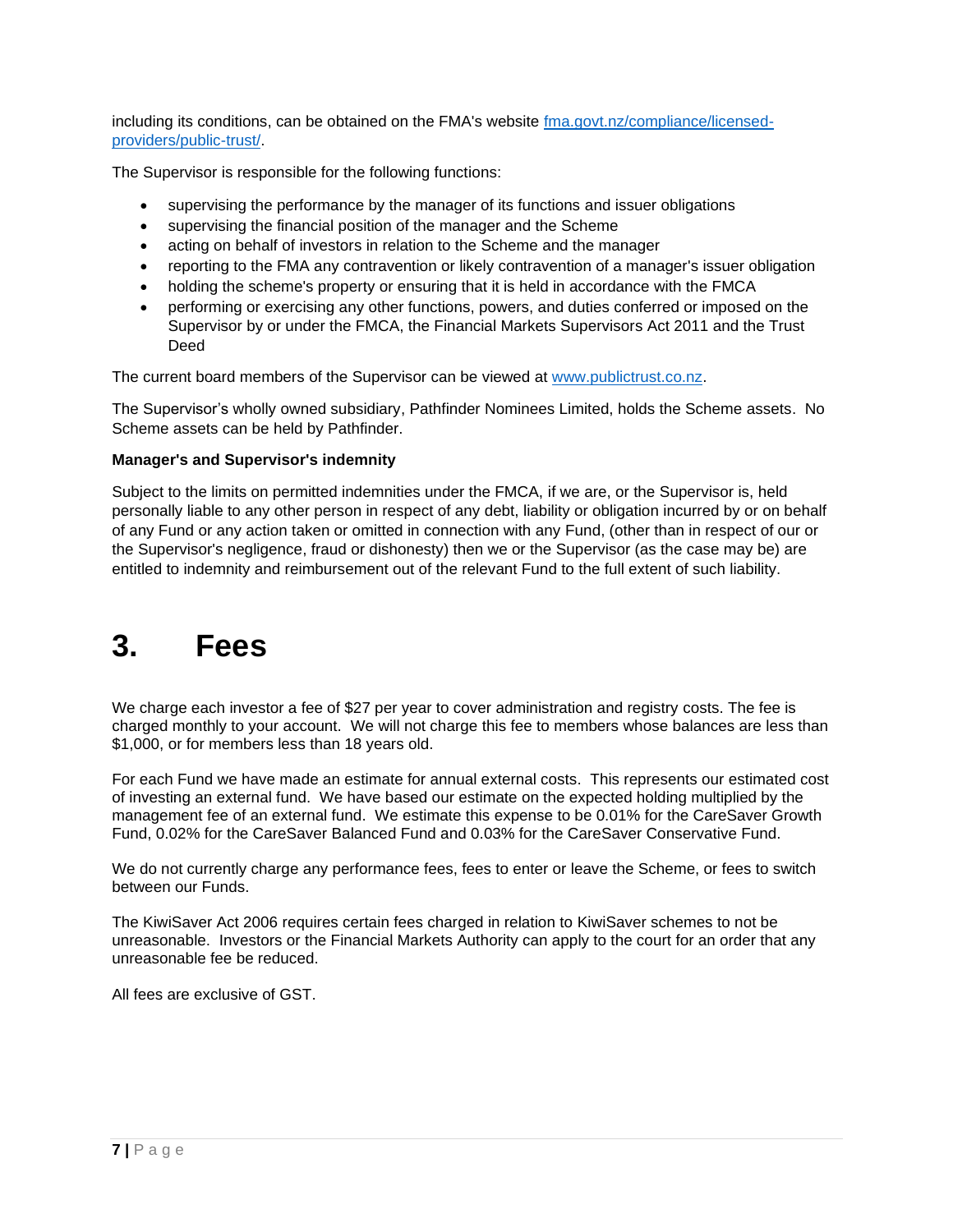including its conditions, can be obtained on the FMA's website [fma.govt.nz/compliance/licensed](http://www.fma.govt.nz/compliance/licensed-providers/public-trust/)[providers/public-trust/.](http://www.fma.govt.nz/compliance/licensed-providers/public-trust/)

The Supervisor is responsible for the following functions:

- supervising the performance by the manager of its functions and issuer obligations
- supervising the financial position of the manager and the Scheme
- acting on behalf of investors in relation to the Scheme and the manager
- reporting to the FMA any contravention or likely contravention of a manager's issuer obligation
- holding the scheme's property or ensuring that it is held in accordance with the FMCA
- performing or exercising any other functions, powers, and duties conferred or imposed on the Supervisor by or under the FMCA, the Financial Markets Supervisors Act 2011 and the Trust Deed

The current board members of the Supervisor can be viewed at [www.publictrust.co.nz.](https://www.publictrust.co.nz/about/our-team)

The Supervisor's wholly owned subsidiary, Pathfinder Nominees Limited, holds the Scheme assets. No Scheme assets can be held by Pathfinder.

#### **Manager's and Supervisor's indemnity**

Subject to the limits on permitted indemnities under the FMCA, if we are, or the Supervisor is, held personally liable to any other person in respect of any debt, liability or obligation incurred by or on behalf of any Fund or any action taken or omitted in connection with any Fund, (other than in respect of our or the Supervisor's negligence, fraud or dishonesty) then we or the Supervisor (as the case may be) are entitled to indemnity and reimbursement out of the relevant Fund to the full extent of such liability.

### **3. Fees**

We charge each investor a fee of \$27 per year to cover administration and registry costs. The fee is charged monthly to your account. We will not charge this fee to members whose balances are less than \$1,000, or for members less than 18 years old.

For each Fund we have made an estimate for annual external costs. This represents our estimated cost of investing an external fund. We have based our estimate on the expected holding multiplied by the management fee of an external fund. We estimate this expense to be 0.01% for the CareSaver Growth Fund, 0.02% for the CareSaver Balanced Fund and 0.03% for the CareSaver Conservative Fund.

We do not currently charge any performance fees, fees to enter or leave the Scheme, or fees to switch between our Funds.

The KiwiSaver Act 2006 requires certain fees charged in relation to KiwiSaver schemes to not be unreasonable. Investors or the Financial Markets Authority can apply to the court for an order that any unreasonable fee be reduced.

All fees are exclusive of GST.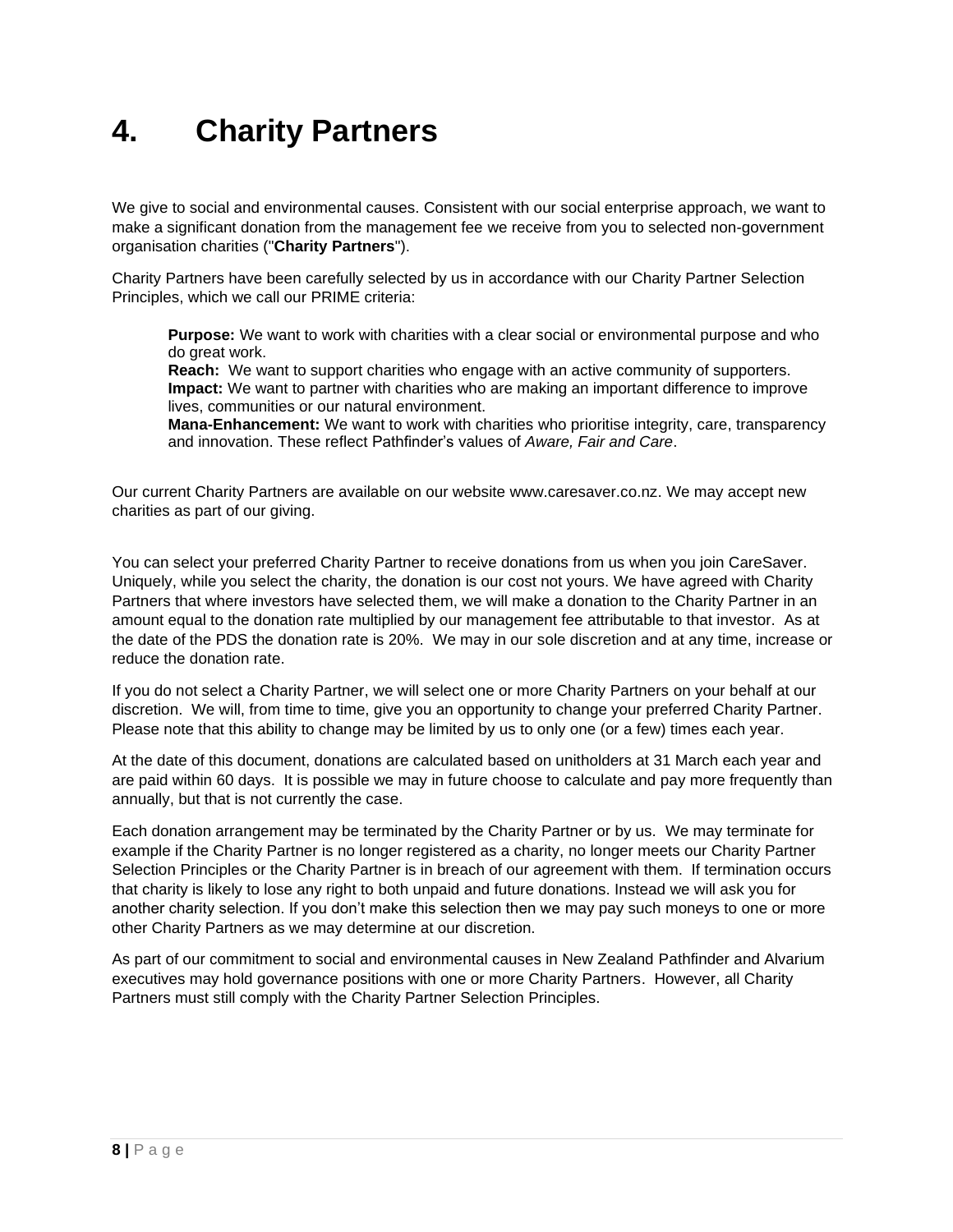### **4. Charity Partners**

We give to social and environmental causes. Consistent with our social enterprise approach, we want to make a significant donation from the management fee we receive from you to selected non-government organisation charities ("**Charity Partners**").

Charity Partners have been carefully selected by us in accordance with our Charity Partner Selection Principles, which we call our PRIME criteria:

**Purpose:** We want to work with charities with a clear social or environmental purpose and who do great work.

**Reach:** We want to support charities who engage with an active community of supporters. **Impact:** We want to partner with charities who are making an important difference to improve lives, communities or our natural environment.

**Mana-Enhancement:** We want to work with charities who prioritise integrity, care, transparency and innovation. These reflect Pathfinder's values of *Aware, Fair and Care*.

Our current Charity Partners are available on our website www.caresaver.co.nz. We may accept new charities as part of our giving.

You can select your preferred Charity Partner to receive donations from us when you join CareSaver. Uniquely, while you select the charity, the donation is our cost not yours. We have agreed with Charity Partners that where investors have selected them, we will make a donation to the Charity Partner in an amount equal to the donation rate multiplied by our management fee attributable to that investor. As at the date of the PDS the donation rate is 20%. We may in our sole discretion and at any time, increase or reduce the donation rate.

If you do not select a Charity Partner, we will select one or more Charity Partners on your behalf at our discretion. We will, from time to time, give you an opportunity to change your preferred Charity Partner. Please note that this ability to change may be limited by us to only one (or a few) times each year.

At the date of this document, donations are calculated based on unitholders at 31 March each year and are paid within 60 days. It is possible we may in future choose to calculate and pay more frequently than annually, but that is not currently the case.

Each donation arrangement may be terminated by the Charity Partner or by us. We may terminate for example if the Charity Partner is no longer registered as a charity, no longer meets our Charity Partner Selection Principles or the Charity Partner is in breach of our agreement with them. If termination occurs that charity is likely to lose any right to both unpaid and future donations. Instead we will ask you for another charity selection. If you don't make this selection then we may pay such moneys to one or more other Charity Partners as we may determine at our discretion.

As part of our commitment to social and environmental causes in New Zealand Pathfinder and Alvarium executives may hold governance positions with one or more Charity Partners. However, all Charity Partners must still comply with the Charity Partner Selection Principles.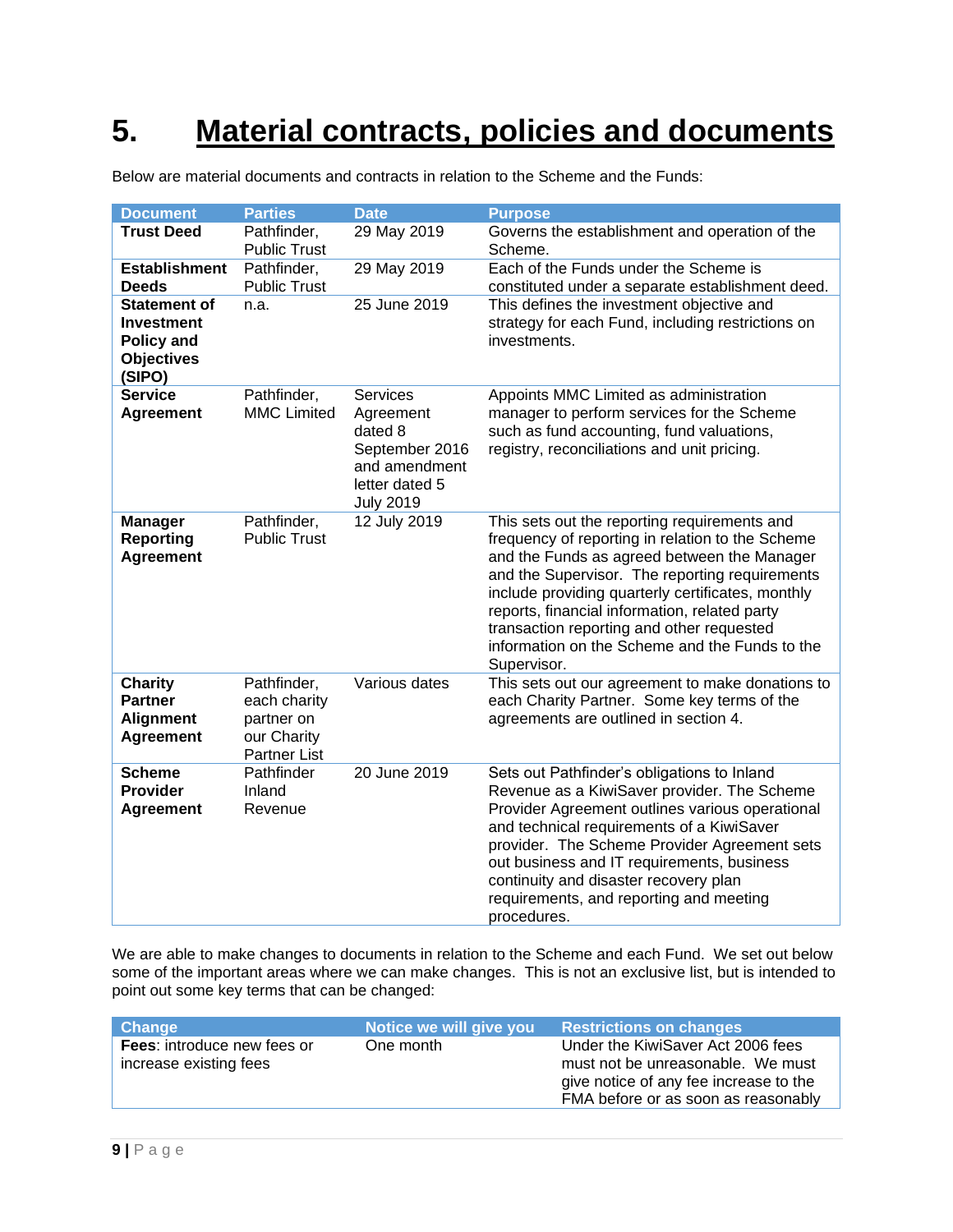# **5. Material contracts, policies and documents**

| <b>Document</b>                                                                              | <b>Parties</b>                                                                  | <b>Date</b>                                                                                                      | <b>Purpose</b>                                                                                                                                                                                                                                                                                                                                                                                                        |
|----------------------------------------------------------------------------------------------|---------------------------------------------------------------------------------|------------------------------------------------------------------------------------------------------------------|-----------------------------------------------------------------------------------------------------------------------------------------------------------------------------------------------------------------------------------------------------------------------------------------------------------------------------------------------------------------------------------------------------------------------|
| <b>Trust Deed</b>                                                                            | Pathfinder,<br><b>Public Trust</b>                                              | 29 May 2019                                                                                                      | Governs the establishment and operation of the<br>Scheme.                                                                                                                                                                                                                                                                                                                                                             |
| <b>Establishment</b><br><b>Deeds</b>                                                         | Pathfinder,<br><b>Public Trust</b>                                              | 29 May 2019                                                                                                      | Each of the Funds under the Scheme is<br>constituted under a separate establishment deed.                                                                                                                                                                                                                                                                                                                             |
| <b>Statement of</b><br><b>Investment</b><br><b>Policy and</b><br><b>Objectives</b><br>(SIPO) | n.a.                                                                            | 25 June 2019                                                                                                     | This defines the investment objective and<br>strategy for each Fund, including restrictions on<br>investments.                                                                                                                                                                                                                                                                                                        |
| <b>Service</b><br><b>Agreement</b>                                                           | Pathfinder,<br><b>MMC Limited</b>                                               | <b>Services</b><br>Agreement<br>dated 8<br>September 2016<br>and amendment<br>letter dated 5<br><b>July 2019</b> | Appoints MMC Limited as administration<br>manager to perform services for the Scheme<br>such as fund accounting, fund valuations,<br>registry, reconciliations and unit pricing.                                                                                                                                                                                                                                      |
| <b>Manager</b><br><b>Reporting</b><br><b>Agreement</b>                                       | Pathfinder,<br><b>Public Trust</b>                                              | 12 July 2019                                                                                                     | This sets out the reporting requirements and<br>frequency of reporting in relation to the Scheme<br>and the Funds as agreed between the Manager<br>and the Supervisor. The reporting requirements<br>include providing quarterly certificates, monthly<br>reports, financial information, related party<br>transaction reporting and other requested<br>information on the Scheme and the Funds to the<br>Supervisor. |
| <b>Charity</b><br><b>Partner</b><br><b>Alignment</b><br><b>Agreement</b>                     | Pathfinder,<br>each charity<br>partner on<br>our Charity<br><b>Partner List</b> | Various dates                                                                                                    | This sets out our agreement to make donations to<br>each Charity Partner. Some key terms of the<br>agreements are outlined in section 4.                                                                                                                                                                                                                                                                              |
| <b>Scheme</b><br><b>Provider</b><br><b>Agreement</b>                                         | Pathfinder<br>Inland<br>Revenue                                                 | 20 June 2019                                                                                                     | Sets out Pathfinder's obligations to Inland<br>Revenue as a KiwiSaver provider. The Scheme<br>Provider Agreement outlines various operational<br>and technical requirements of a KiwiSaver<br>provider. The Scheme Provider Agreement sets<br>out business and IT requirements, business<br>continuity and disaster recovery plan<br>requirements, and reporting and meeting<br>procedures.                           |

Below are material documents and contracts in relation to the Scheme and the Funds:

We are able to make changes to documents in relation to the Scheme and each Fund. We set out below some of the important areas where we can make changes. This is not an exclusive list, but is intended to point out some key terms that can be changed:

| Under the KiwiSaver Act 2006 fees<br><b>Fees:</b> introduce new fees or<br>One month<br>increase existing fees<br>must not be unreasonable. We must<br>give notice of any fee increase to the | <b>Change</b> | Notice we will give you | <b>Restrictions on changes</b>      |
|-----------------------------------------------------------------------------------------------------------------------------------------------------------------------------------------------|---------------|-------------------------|-------------------------------------|
|                                                                                                                                                                                               |               |                         | FMA before or as soon as reasonably |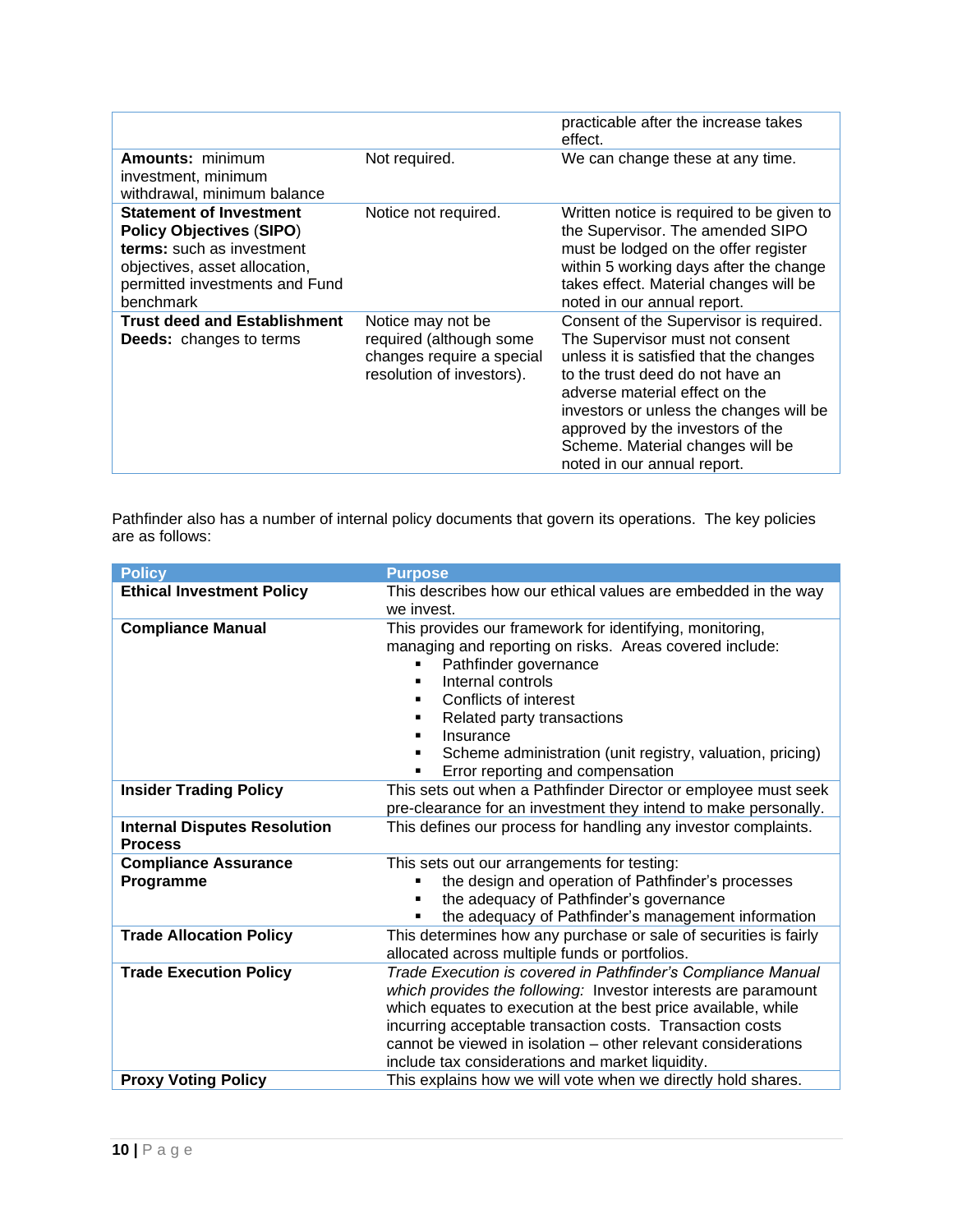|                                                                                                                                                                                |                                                                                                        | practicable after the increase takes<br>effect.                                                                                                                                                                                                                                                                                              |
|--------------------------------------------------------------------------------------------------------------------------------------------------------------------------------|--------------------------------------------------------------------------------------------------------|----------------------------------------------------------------------------------------------------------------------------------------------------------------------------------------------------------------------------------------------------------------------------------------------------------------------------------------------|
| Amounts: minimum<br>investment, minimum<br>withdrawal, minimum balance                                                                                                         | Not required.                                                                                          | We can change these at any time.                                                                                                                                                                                                                                                                                                             |
| <b>Statement of Investment</b><br><b>Policy Objectives (SIPO)</b><br>terms: such as investment<br>objectives, asset allocation,<br>permitted investments and Fund<br>benchmark | Notice not required.                                                                                   | Written notice is required to be given to<br>the Supervisor. The amended SIPO<br>must be lodged on the offer register<br>within 5 working days after the change<br>takes effect. Material changes will be<br>noted in our annual report.                                                                                                     |
| <b>Trust deed and Establishment</b><br><b>Deeds:</b> changes to terms                                                                                                          | Notice may not be<br>required (although some<br>changes require a special<br>resolution of investors). | Consent of the Supervisor is required.<br>The Supervisor must not consent<br>unless it is satisfied that the changes<br>to the trust deed do not have an<br>adverse material effect on the<br>investors or unless the changes will be<br>approved by the investors of the<br>Scheme. Material changes will be<br>noted in our annual report. |

Pathfinder also has a number of internal policy documents that govern its operations. The key policies are as follows:

| <b>Policy</b>                                         | <b>Purpose</b>                                                                                                                                                                                                                                                                                                                                                                    |
|-------------------------------------------------------|-----------------------------------------------------------------------------------------------------------------------------------------------------------------------------------------------------------------------------------------------------------------------------------------------------------------------------------------------------------------------------------|
| <b>Ethical Investment Policy</b>                      | This describes how our ethical values are embedded in the way<br>we invest.                                                                                                                                                                                                                                                                                                       |
| <b>Compliance Manual</b>                              | This provides our framework for identifying, monitoring,<br>managing and reporting on risks. Areas covered include:<br>Pathfinder governance<br>٠<br>Internal controls<br>Conflicts of interest<br>Related party transactions<br>٠<br>Insurance<br>٠<br>Scheme administration (unit registry, valuation, pricing)<br>٠<br>Error reporting and compensation<br>٠                   |
| <b>Insider Trading Policy</b>                         | This sets out when a Pathfinder Director or employee must seek<br>pre-clearance for an investment they intend to make personally.                                                                                                                                                                                                                                                 |
| <b>Internal Disputes Resolution</b><br><b>Process</b> | This defines our process for handling any investor complaints.                                                                                                                                                                                                                                                                                                                    |
| <b>Compliance Assurance</b><br>Programme              | This sets out our arrangements for testing:<br>the design and operation of Pathfinder's processes<br>the adequacy of Pathfinder's governance<br>the adequacy of Pathfinder's management information<br>٠                                                                                                                                                                          |
| <b>Trade Allocation Policy</b>                        | This determines how any purchase or sale of securities is fairly<br>allocated across multiple funds or portfolios.                                                                                                                                                                                                                                                                |
| <b>Trade Execution Policy</b>                         | Trade Execution is covered in Pathfinder's Compliance Manual<br>which provides the following: Investor interests are paramount<br>which equates to execution at the best price available, while<br>incurring acceptable transaction costs. Transaction costs<br>cannot be viewed in isolation – other relevant considerations<br>include tax considerations and market liquidity. |
| <b>Proxy Voting Policy</b>                            | This explains how we will vote when we directly hold shares.                                                                                                                                                                                                                                                                                                                      |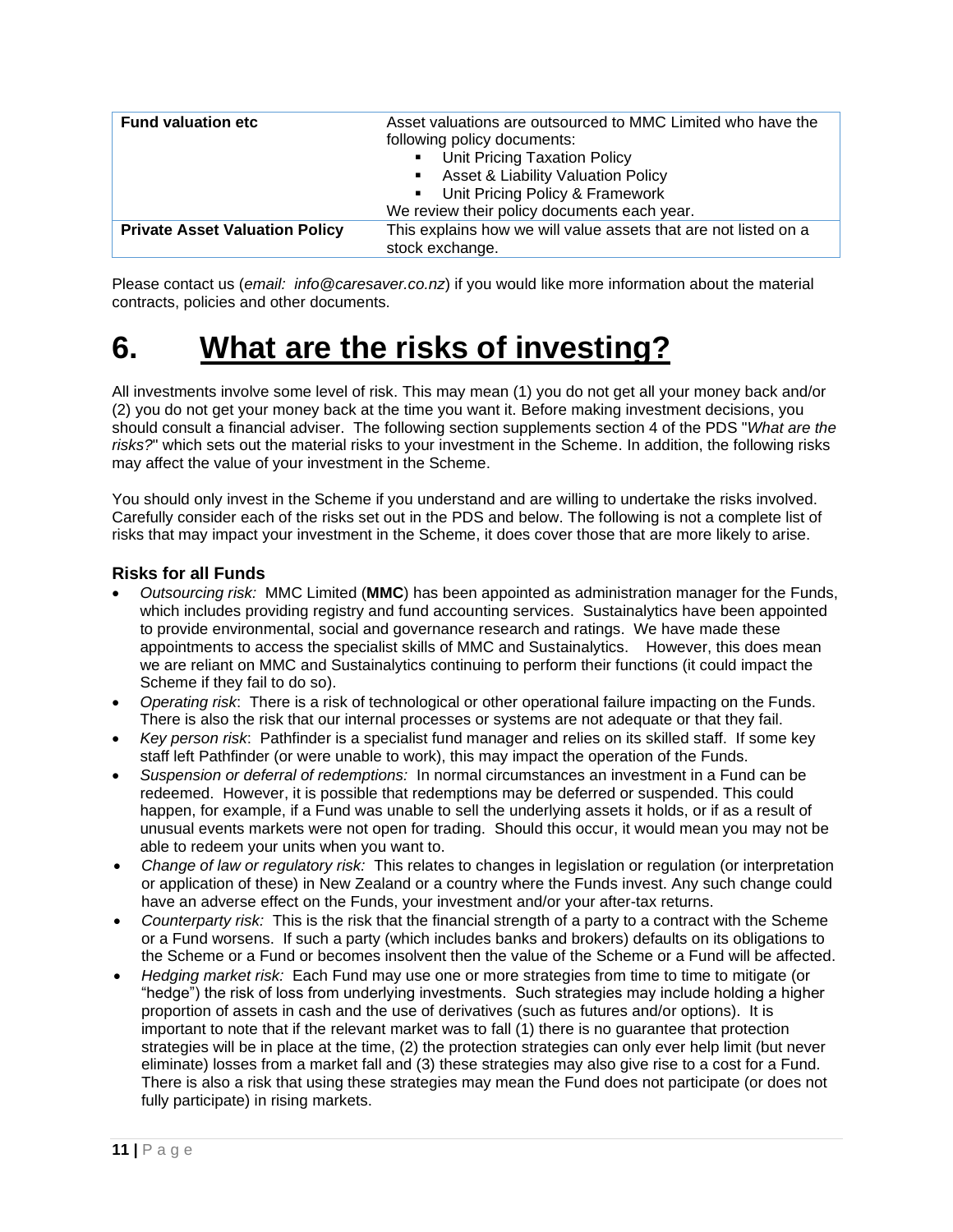| <b>Fund valuation etc</b>             | Asset valuations are outsourced to MMC Limited who have the<br>following policy documents: |  |
|---------------------------------------|--------------------------------------------------------------------------------------------|--|
|                                       |                                                                                            |  |
|                                       | • Unit Pricing Taxation Policy                                                             |  |
|                                       | • Asset & Liability Valuation Policy                                                       |  |
|                                       | • Unit Pricing Policy & Framework                                                          |  |
|                                       | We review their policy documents each year.                                                |  |
| <b>Private Asset Valuation Policy</b> | This explains how we will value assets that are not listed on a                            |  |
|                                       | stock exchange.                                                                            |  |

Please contact us (*email: info@caresaver.co.nz*) if you would like more information about the material contracts, policies and other documents.

### **6. What are the risks of investing?**

All investments involve some level of risk. This may mean (1) you do not get all your money back and/or (2) you do not get your money back at the time you want it. Before making investment decisions, you should consult a financial adviser. The following section supplements section 4 of the PDS "*What are the risks?*" which sets out the material risks to your investment in the Scheme. In addition, the following risks may affect the value of your investment in the Scheme.

You should only invest in the Scheme if you understand and are willing to undertake the risks involved. Carefully consider each of the risks set out in the PDS and below. The following is not a complete list of risks that may impact your investment in the Scheme, it does cover those that are more likely to arise.

#### **Risks for all Funds**

- *Outsourcing risk:* MMC Limited (**MMC**) has been appointed as administration manager for the Funds, which includes providing registry and fund accounting services. Sustainalytics have been appointed to provide environmental, social and governance research and ratings. We have made these appointments to access the specialist skills of MMC and Sustainalytics. However, this does mean we are reliant on MMC and Sustainalytics continuing to perform their functions (it could impact the Scheme if they fail to do so).
- *Operating risk*: There is a risk of technological or other operational failure impacting on the Funds. There is also the risk that our internal processes or systems are not adequate or that they fail.
- *Key person risk*: Pathfinder is a specialist fund manager and relies on its skilled staff. If some key staff left Pathfinder (or were unable to work), this may impact the operation of the Funds.
- *Suspension or deferral of redemptions:* In normal circumstances an investment in a Fund can be redeemed. However, it is possible that redemptions may be deferred or suspended. This could happen, for example, if a Fund was unable to sell the underlying assets it holds, or if as a result of unusual events markets were not open for trading. Should this occur, it would mean you may not be able to redeem your units when you want to.
- *Change of law or regulatory risk:* This relates to changes in legislation or regulation (or interpretation or application of these) in New Zealand or a country where the Funds invest. Any such change could have an adverse effect on the Funds, your investment and/or your after-tax returns.
- *Counterparty risk:* This is the risk that the financial strength of a party to a contract with the Scheme or a Fund worsens. If such a party (which includes banks and brokers) defaults on its obligations to the Scheme or a Fund or becomes insolvent then the value of the Scheme or a Fund will be affected.
- *Hedging market risk:* Each Fund may use one or more strategies from time to time to mitigate (or "hedge") the risk of loss from underlying investments. Such strategies may include holding a higher proportion of assets in cash and the use of derivatives (such as futures and/or options). It is important to note that if the relevant market was to fall (1) there is no guarantee that protection strategies will be in place at the time, (2) the protection strategies can only ever help limit (but never eliminate) losses from a market fall and (3) these strategies may also give rise to a cost for a Fund. There is also a risk that using these strategies may mean the Fund does not participate (or does not fully participate) in rising markets.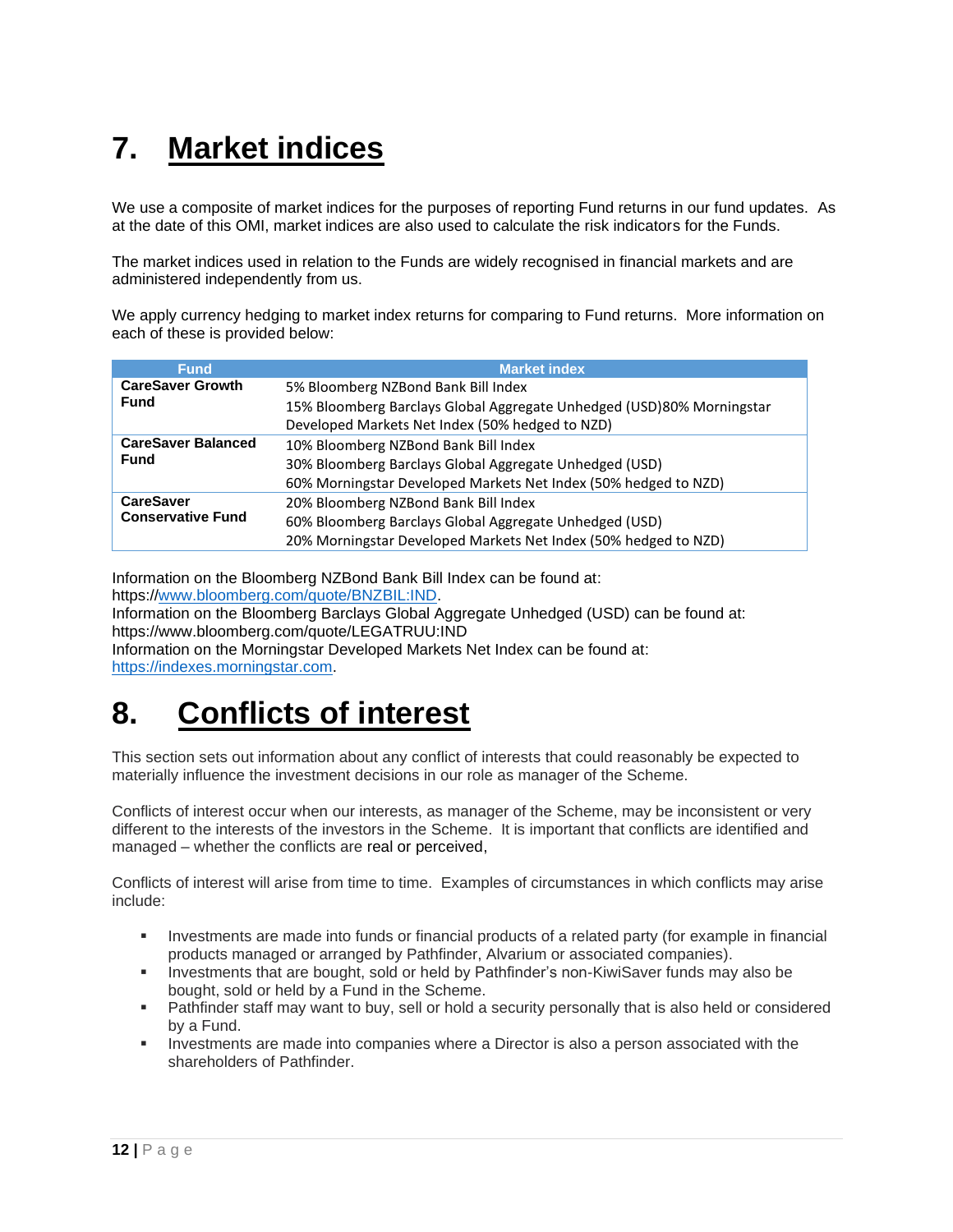# **7. Market indices**

We use a composite of market indices for the purposes of reporting Fund returns in our fund updates. As at the date of this OMI, market indices are also used to calculate the risk indicators for the Funds.

The market indices used in relation to the Funds are widely recognised in financial markets and are administered independently from us.

We apply currency hedging to market index returns for comparing to Fund returns. More information on each of these is provided below:

| <b>Fund</b>               | <b>Market index</b>                                                   |
|---------------------------|-----------------------------------------------------------------------|
| <b>CareSaver Growth</b>   | 5% Bloomberg NZBond Bank Bill Index                                   |
| <b>Fund</b>               | 15% Bloomberg Barclays Global Aggregate Unhedged (USD)80% Morningstar |
|                           | Developed Markets Net Index (50% hedged to NZD)                       |
| <b>CareSaver Balanced</b> | 10% Bloomberg NZBond Bank Bill Index                                  |
| <b>Fund</b>               | 30% Bloomberg Barclays Global Aggregate Unhedged (USD)                |
|                           | 60% Morningstar Developed Markets Net Index (50% hedged to NZD)       |
| <b>CareSaver</b>          | 20% Bloomberg NZBond Bank Bill Index                                  |
| <b>Conservative Fund</b>  | 60% Bloomberg Barclays Global Aggregate Unhedged (USD)                |
|                           | 20% Morningstar Developed Markets Net Index (50% hedged to NZD)       |

Information on the Bloomberg NZBond Bank Bill Index can be found at: https:/[/www.bloomberg.com/quote/BNZBIL:IND.](http://www.bloomberg.com/quote/BNZBIL:IND)

Information on the Bloomberg Barclays Global Aggregate Unhedged (USD) can be found at: https://www.bloomberg.com/quote/LEGATRUU:IND

Information on the Morningstar Developed Markets Net Index can be found at: [https://indexes.morningstar.com.](https://indexes.morningstar.com/)

### **8. Conflicts of interest**

This section sets out information about any conflict of interests that could reasonably be expected to materially influence the investment decisions in our role as manager of the Scheme.

Conflicts of interest occur when our interests, as manager of the Scheme, may be inconsistent or very different to the interests of the investors in the Scheme. It is important that conflicts are identified and managed – whether the conflicts are real or perceived,

Conflicts of interest will arise from time to time. Examples of circumstances in which conflicts may arise include:

- Investments are made into funds or financial products of a related party (for example in financial products managed or arranged by Pathfinder, Alvarium or associated companies).
- Investments that are bought, sold or held by Pathfinder's non-KiwiSaver funds may also be bought, sold or held by a Fund in the Scheme.
- **EXECT** Pathfinder staff may want to buy, sell or hold a security personally that is also held or considered by a Fund.
- Investments are made into companies where a Director is also a person associated with the shareholders of Pathfinder.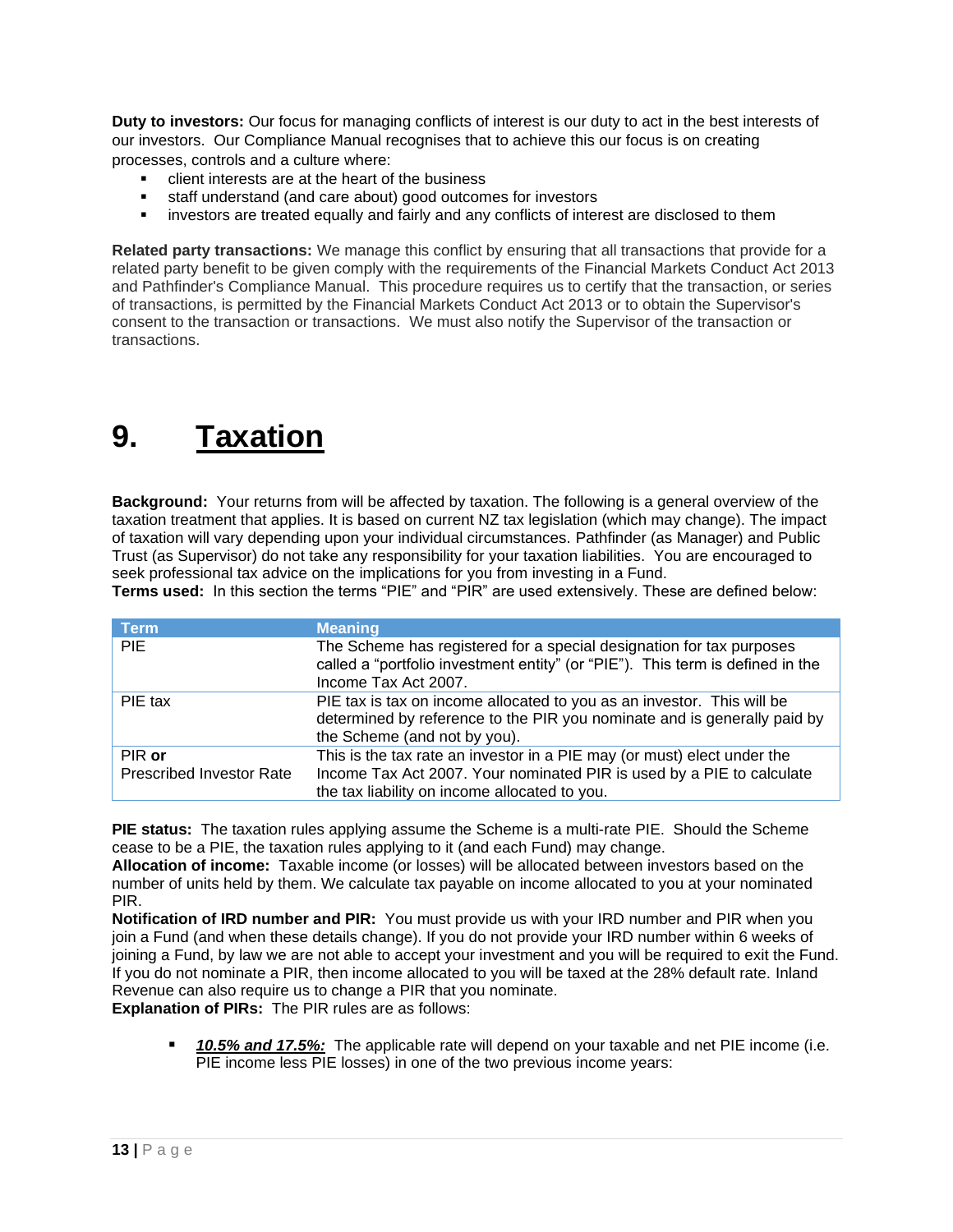**Duty to investors:** Our focus for managing conflicts of interest is our duty to act in the best interests of our investors. Our Compliance Manual recognises that to achieve this our focus is on creating processes, controls and a culture where:

- client interests are at the heart of the business
- staff understand (and care about) good outcomes for investors
- **.** investors are treated equally and fairly and any conflicts of interest are disclosed to them

**Related party transactions:** We manage this conflict by ensuring that all transactions that provide for a related party benefit to be given comply with the requirements of the Financial Markets Conduct Act 2013 and Pathfinder's Compliance Manual. This procedure requires us to certify that the transaction, or series of transactions, is permitted by the Financial Markets Conduct Act 2013 or to obtain the Supervisor's consent to the transaction or transactions. We must also notify the Supervisor of the transaction or transactions.

### **9. Taxation**

**Background:** Your returns from will be affected by taxation. The following is a general overview of the taxation treatment that applies. It is based on current NZ tax legislation (which may change). The impact of taxation will vary depending upon your individual circumstances. Pathfinder (as Manager) and Public Trust (as Supervisor) do not take any responsibility for your taxation liabilities. You are encouraged to seek professional tax advice on the implications for you from investing in a Fund.

**Terms used:** In this section the terms "PIE" and "PIR" are used extensively. These are defined below:

| <b>Term</b>                     | <b>Meaning</b>                                                                                                                                                                     |
|---------------------------------|------------------------------------------------------------------------------------------------------------------------------------------------------------------------------------|
| <b>PIE</b>                      | The Scheme has registered for a special designation for tax purposes<br>called a "portfolio investment entity" (or "PIE"). This term is defined in the<br>Income Tax Act 2007.     |
| PIE tax                         | PIE tax is tax on income allocated to you as an investor. This will be<br>determined by reference to the PIR you nominate and is generally paid by<br>the Scheme (and not by you). |
| PIR or                          | This is the tax rate an investor in a PIE may (or must) elect under the                                                                                                            |
| <b>Prescribed Investor Rate</b> | Income Tax Act 2007. Your nominated PIR is used by a PIE to calculate<br>the tax liability on income allocated to you.                                                             |

**PIE status:** The taxation rules applying assume the Scheme is a multi-rate PIE. Should the Scheme cease to be a PIE, the taxation rules applying to it (and each Fund) may change.

**Allocation of income:** Taxable income (or losses) will be allocated between investors based on the number of units held by them. We calculate tax payable on income allocated to you at your nominated PIR.

**Notification of IRD number and PIR:** You must provide us with your IRD number and PIR when you join a Fund (and when these details change). If you do not provide your IRD number within 6 weeks of joining a Fund, by law we are not able to accept your investment and you will be required to exit the Fund. If you do not nominate a PIR, then income allocated to you will be taxed at the 28% default rate. Inland Revenue can also require us to change a PIR that you nominate.

**Explanation of PIRs:** The PIR rules are as follows:

■ 10.5% and 17.5%: The applicable rate will depend on your taxable and net PIE income (i.e. PIE income less PIE losses) in one of the two previous income years: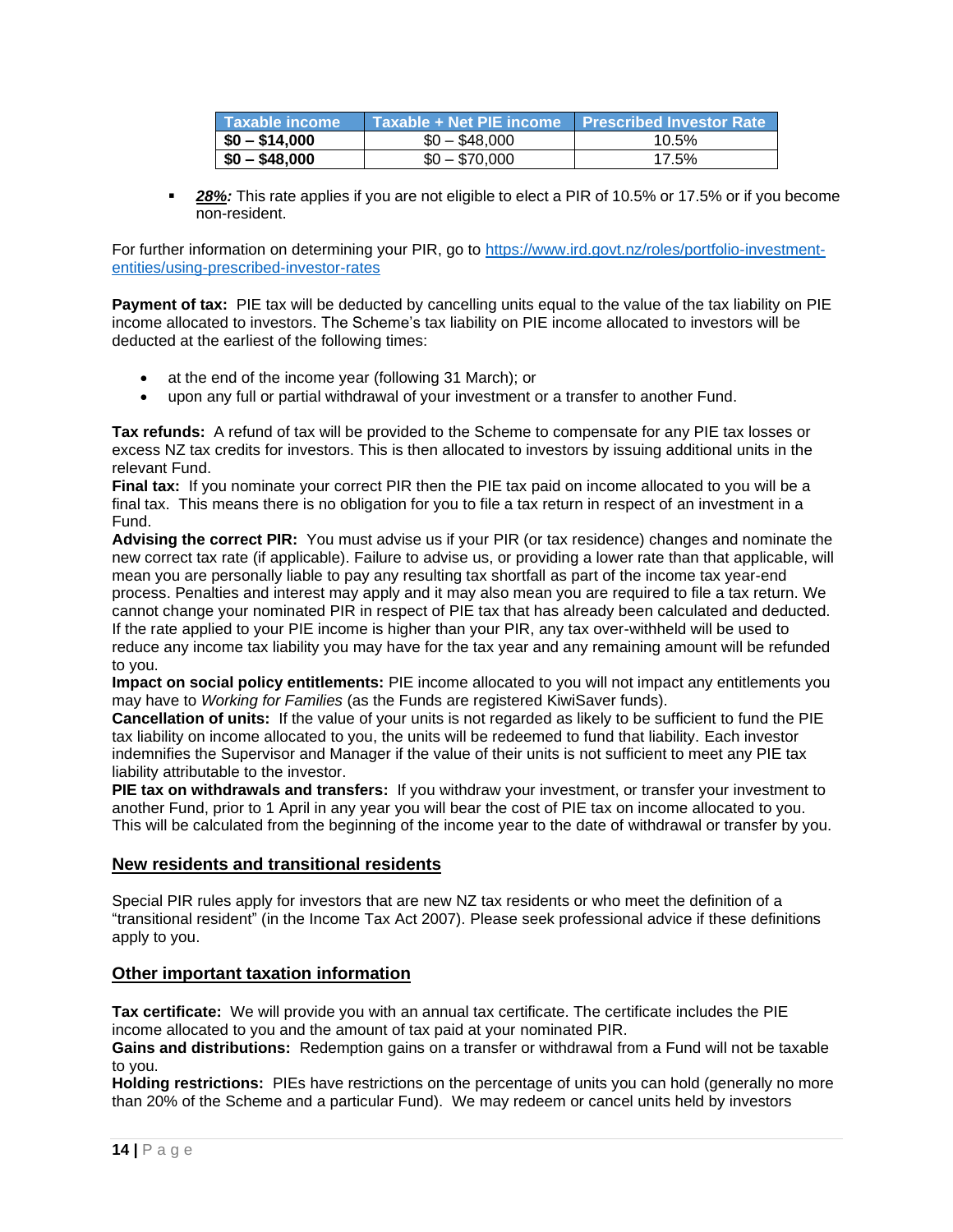| Taxable income | Taxable + Net PIE income Prescribed Investor Rate |       |
|----------------|---------------------------------------------------|-------|
| $$0 - $14,000$ | $$0 - $48,000$                                    | 10.5% |
| $$0 - $48,000$ | $$0 - $70,000$                                    | 17.5% |

**28%:** This rate applies if you are not eligible to elect a PIR of 10.5% or 17.5% or if you become non-resident.

For further information on determining your PIR, go to [https://www.ird.govt.nz/roles/portfolio-investment](https://www.ird.govt.nz/roles/portfolio-investment-entities/using-prescribed-investor-rates)[entities/using-prescribed-investor-rates](https://www.ird.govt.nz/roles/portfolio-investment-entities/using-prescribed-investor-rates)

**Payment of tax:** PIE tax will be deducted by cancelling units equal to the value of the tax liability on PIE income allocated to investors. The Scheme's tax liability on PIE income allocated to investors will be deducted at the earliest of the following times:

- at the end of the income year (following 31 March); or
- upon any full or partial withdrawal of your investment or a transfer to another Fund.

**Tax refunds:**A refund of tax will be provided to the Scheme to compensate for any PIE tax losses or excess NZ tax credits for investors. This is then allocated to investors by issuing additional units in the relevant Fund.

**Final tax:** If you nominate your correct PIR then the PIE tax paid on income allocated to you will be a final tax. This means there is no obligation for you to file a tax return in respect of an investment in a Fund.

**Advising the correct PIR:** You must advise us if your PIR (or tax residence) changes and nominate the new correct tax rate (if applicable). Failure to advise us, or providing a lower rate than that applicable, will mean you are personally liable to pay any resulting tax shortfall as part of the income tax year-end process. Penalties and interest may apply and it may also mean you are required to file a tax return. We cannot change your nominated PIR in respect of PIE tax that has already been calculated and deducted. If the rate applied to your PIE income is higher than your PIR, any tax over-withheld will be used to reduce any income tax liability you may have for the tax year and any remaining amount will be refunded to you.

**Impact on social policy entitlements:** PIE income allocated to you will not impact any entitlements you may have to *Working for Families* (as the Funds are registered KiwiSaver funds).

**Cancellation of units:**If the value of your units is not regarded as likely to be sufficient to fund the PIE tax liability on income allocated to you, the units will be redeemed to fund that liability. Each investor indemnifies the Supervisor and Manager if the value of their units is not sufficient to meet any PIE tax liability attributable to the investor.

**PIE tax on withdrawals and transfers:**If you withdraw your investment, or transfer your investment to another Fund, prior to 1 April in any year you will bear the cost of PIE tax on income allocated to you. This will be calculated from the beginning of the income year to the date of withdrawal or transfer by you.

#### **New residents and transitional residents**

Special PIR rules apply for investors that are new NZ tax residents or who meet the definition of a "transitional resident" (in the Income Tax Act 2007). Please seek professional advice if these definitions apply to you.

#### **Other important taxation information**

**Tax certificate:** We will provide you with an annual tax certificate. The certificate includes the PIE income allocated to you and the amount of tax paid at your nominated PIR.

**Gains and distributions:**Redemption gains on a transfer or withdrawal from a Fund will not be taxable to you.

**Holding restrictions:**PIEs have restrictions on the percentage of units you can hold (generally no more than 20% of the Scheme and a particular Fund). We may redeem or cancel units held by investors